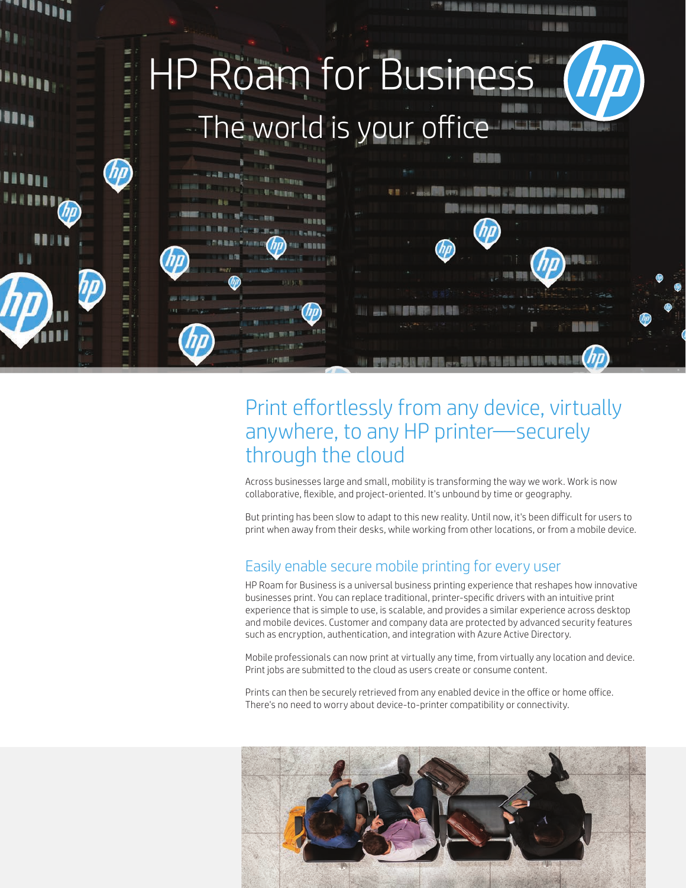

# Print effortlessly from any device, virtually anywhere, to any HP printer—securely through the cloud

Across businesses large and small, mobility is transforming the way we work. Work is now collaborative, flexible, and project-oriented. It's unbound by time or geography.

But printing has been slow to adapt to this new reality. Until now, it's been difficult for users to print when away from their desks, while working from other locations, or from a mobile device.

### Easily enable secure mobile printing for every user

HP Roam for Business is a universal business printing experience that reshapes how innovative businesses print. You can replace traditional, printer-specific drivers with an intuitive print experience that is simple to use, is scalable, and provides a similar experience across desktop and mobile devices. Customer and company data are protected by advanced security features such as encryption, authentication, and integration with Azure Active Directory.

Mobile professionals can now print at virtually any time, from virtually any location and device. Print jobs are submitted to the cloud as users create or consume content.

Prints can then be securely retrieved from any enabled device in the office or home office. There's no need to worry about device-to-printer compatibility or connectivity.